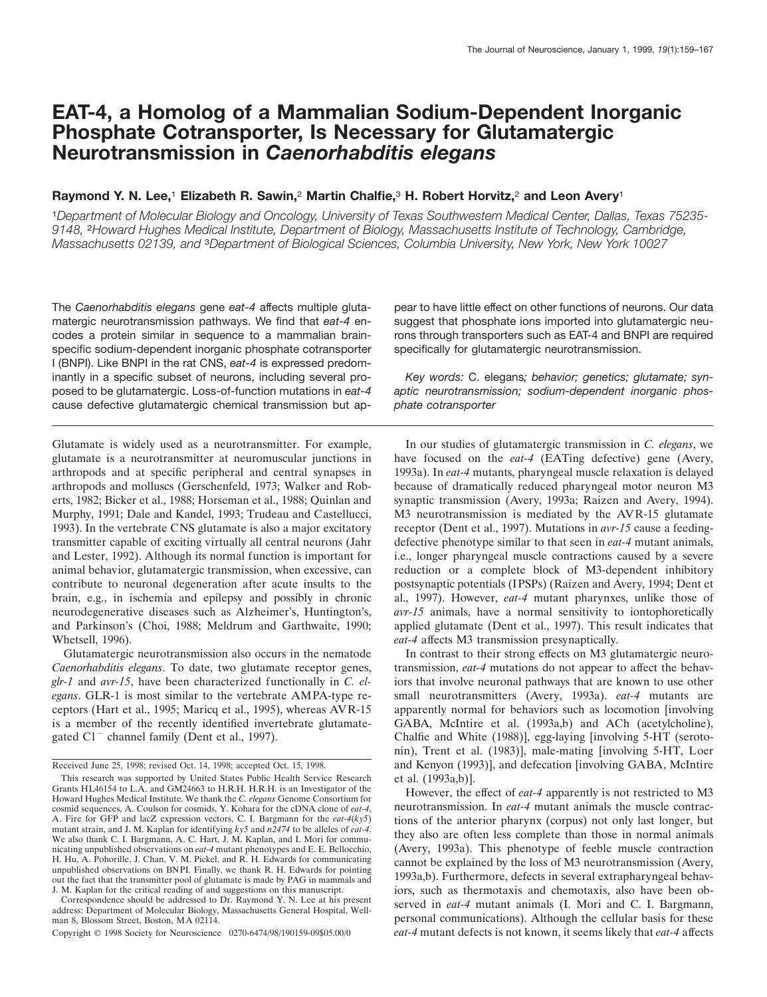# **EAT-4, a Homolog of a Mammalian Sodium-Dependent Inorganic Phosphate Cotransporter, Is Necessary for Glutamatergic Neurotransmission in** *Caenorhabditis elegans*

# **Raymond Y. N. Lee,**<sup>1</sup> **Elizabeth R. Sawin,**<sup>2</sup> **Martin Chalfie,**<sup>3</sup> **H. Robert Horvitz,**<sup>2</sup> **and Leon Avery**<sup>1</sup>

<sup>1</sup>*Department of Molecular Biology and Oncology, University of Texas Southwestern Medical Center, Dallas, Texas 75235- 9148,* <sup>2</sup>*Howard Hughes Medical Institute, Department of Biology, Massachusetts Institute of Technology, Cambridge, Massachusetts 02139, and* <sup>3</sup>*Department of Biological Sciences, Columbia University, New York, New York 10027*

The *Caenorhabditis elegans* gene *eat-4* affects multiple glutamatergic neurotransmission pathways. We find that *eat-4* encodes a protein similar in sequence to a mammalian brainspecific sodium-dependent inorganic phosphate cotransporter I (BNPI). Like BNPI in the rat CNS, *eat-4* is expressed predominantly in a specific subset of neurons, including several proposed to be glutamatergic. Loss-of-function mutations in *eat-4* cause defective glutamatergic chemical transmission but ap-

Glutamate is widely used as a neurotransmitter. For example, glutamate is a neurotransmitter at neuromuscular junctions in arthropods and at specific peripheral and central synapses in arthropods and molluscs (Gerschenfeld, 1973; Walker and Roberts, 1982; Bicker et al., 1988; Horseman et al., 1988; Quinlan and Murphy, 1991; Dale and Kandel, 1993; Trudeau and Castellucci, 1993). In the vertebrate CNS glutamate is also a major excitatory transmitter capable of exciting virtually all central neurons (Jahr and Lester, 1992). Although its normal function is important for animal behavior, glutamatergic transmission, when excessive, can contribute to neuronal degeneration after acute insults to the brain, e.g., in ischemia and epilepsy and possibly in chronic neurodegenerative diseases such as Alzheimer's, Huntington's, and Parkinson's (Choi, 1988; Meldrum and Garthwaite, 1990; Whetsell, 1996).

Glutamatergic neurotransmission also occurs in the nematode *Caenorhabditis elegans*. To date, two glutamate receptor genes, *glr-1* and *avr-15*, have been characterized functionally in *C. elegans*. GLR-1 is most similar to the vertebrate AMPA-type receptors (Hart et al., 1995; Maricq et al., 1995), whereas AVR-15 is a member of the recently identified invertebrate glutamategated  $Cl^-$  channel family (Dent et al., 1997).

Correspondence should be addressed to Dr. Raymond Y. N. Lee at his present address: Department of Molecular Biology, Massachusetts General Hospital, Wellman 8, Blossom Street, Boston, MA 02114.

Copyright © 1998 Society for Neuroscience 0270-6474/98/190159-09\$05.00/0

pear to have little effect on other functions of neurons. Our data suggest that phosphate ions imported into glutamatergic neurons through transporters such as EAT-4 and BNPI are required specifically for glutamatergic neurotransmission.

*Key words:* C. elegans*; behavior; genetics; glutamate; synaptic neurotransmission; sodium-dependent inorganic phosphate cotransporter*

In our studies of glutamatergic transmission in *C. elegans*, we have focused on the *eat-4* (EATing defective) gene (Avery, 1993a). In *eat-4* mutants, pharyngeal muscle relaxation is delayed because of dramatically reduced pharyngeal motor neuron M3 synaptic transmission (Avery, 1993a; Raizen and Avery, 1994). M3 neurotransmission is mediated by the AVR-15 glutamate receptor (Dent et al., 1997). Mutations in *avr-15* cause a feedingdefective phenotype similar to that seen in *eat-4* mutant animals, i.e., longer pharyngeal muscle contractions caused by a severe reduction or a complete block of M3-dependent inhibitory postsynaptic potentials (IPSPs) (Raizen and Avery, 1994; Dent et al., 1997). However, *eat-4* mutant pharynxes, unlike those of *avr-15* animals, have a normal sensitivity to iontophoretically applied glutamate (Dent et al., 1997). This result indicates that *eat-4* affects M3 transmission presynaptically.

In contrast to their strong effects on M3 glutamatergic neurotransmission, *eat-4* mutations do not appear to affect the behaviors that involve neuronal pathways that are known to use other small neurotransmitters (Avery, 1993a). *eat-4* mutants are apparently normal for behaviors such as locomotion [involving GABA, McIntire et al. (1993a,b) and ACh (acetylcholine), Chalfie and White (1988)], egg-laying [involving 5-HT (serotonin), Trent et al. (1983)], male-mating [involving 5-HT, Loer and Kenyon (1993)], and defecation [involving GABA, McIntire et al. (1993a,b)].

However, the effect of *eat-4* apparently is not restricted to M3 neurotransmission. In *eat-4* mutant animals the muscle contractions of the anterior pharynx (corpus) not only last longer, but they also are often less complete than those in normal animals (Avery, 1993a). This phenotype of feeble muscle contraction cannot be explained by the loss of M3 neurotransmission (Avery, 1993a,b). Furthermore, defects in several extrapharyngeal behaviors, such as thermotaxis and chemotaxis, also have been observed in *eat-4* mutant animals (I. Mori and C. I. Bargmann, personal communications). Although the cellular basis for these *eat-4* mutant defects is not known, it seems likely that *eat-4* affects

Received June 25, 1998; revised Oct. 14, 1998; accepted Oct. 15, 1998.

This research was supported by United States Public Health Service Research Grants HL46154 to L.A. and GM24663 to H.R.H. H.R.H. is an Investigator of the Howard Hughes Medical Institute. We thank the *C. elegans* Genome Consortium for cosmid sequences, A. Coulson for cosmids, Y. Kohara for the cDNA clone of *eat-4*, A. Fire for GFP and lacZ expression vectors, C. I. Bargmann for the *eat-4*(*ky5*) mutant strain, and J. M. Kaplan for identifying *ky5* and *n2474* to be alleles of *eat-4*. We also thank C. I. Bargmann, A. C. Hart, J. M. Kaplan, and I. Mori for communicating unpublished observations on *eat-4* mutant phenotypes and E. E. Bellocchio, H. Hu, A. Pohorille, J. Chan, V. M. Pickel, and R. H. Edwards for communicating unpublished observations on BNPI. Finally, we thank R. H. Edwards for pointing out the fact that the transmitter pool of glutamate is made by PAG in mammals and J. M. Kaplan for the critical reading of and suggestions on this manuscript.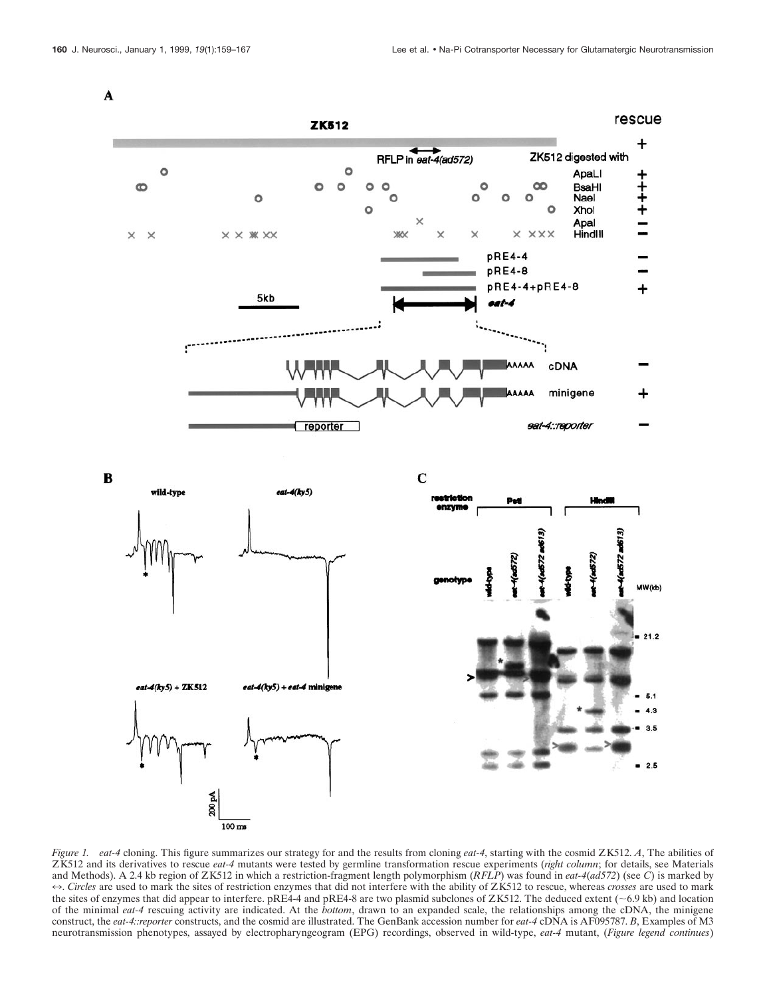$\mathbf{A}$ 



*Figure 1. eat-4* cloning. This figure summarizes our strategy for and the results from cloning *eat-4*, starting with the cosmid ZK512. *A*, The abilities of ZK512 and its derivatives to rescue *eat-4* mutants were tested by germline transformation rescue experiments (*right column*; for details, see Materials and Methods). A 2.4 kb region of ZK512 in which a restriction-fragment length polymorphism (*RFLP*) was found in *eat-4*(*ad572*) (see *C*) is marked by 7. *Circles* are used to mark the sites of restriction enzymes that did not interfere with the ability of ZK512 to rescue, whereas *crosses* are used to mark the sites of enzymes that did appear to interfere. pRE4-4 and pRE4-8 are two plasmid subclones of ZK512. The deduced extent ( $\sim$  6.9 kb) and location of the minimal *eat-4* rescuing activity are indicated. At the *bottom*, drawn to an expanded scale, the relationships among the cDNA, the minigene construct, the *eat-4::reporter* constructs, and the cosmid are illustrated. The GenBank accession number for *eat-4* cDNA is AF095787. *B*, Examples of M3 neurotransmission phenotypes, assayed by electropharyngeogram (EPG) recordings, observed in wild-type, *eat-4* mutant, (*Figure legend continues*)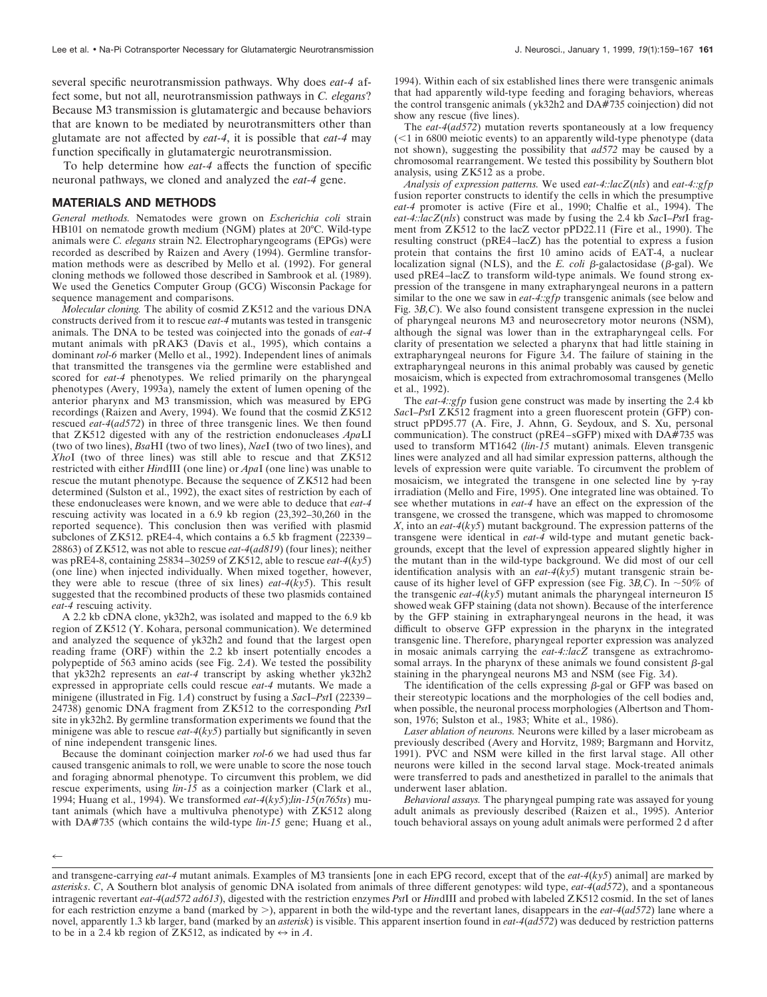several specific neurotransmission pathways. Why does *eat-4* affect some, but not all, neurotransmission pathways in *C. elegans*? Because M3 transmission is glutamatergic and because behaviors that are known to be mediated by neurotransmitters other than glutamate are not affected by *eat-4*, it is possible that *eat-4* may function specifically in glutamatergic neurotransmission.

To help determine how *eat-4* affects the function of specific neuronal pathways, we cloned and analyzed the *eat-4* gene.

# **MATERIALS AND METHODS**

*General methods.* Nematodes were grown on *Escherichia coli* strain HB101 on nematode growth medium (NGM) plates at 20°C. Wild-type animals were *C. elegans* strain N2. Electropharyngeograms (EPGs) were recorded as described by Raizen and Avery (1994). Germline transformation methods were as described by Mello et al. (1992). For general cloning methods we followed those described in Sambrook et al. (1989). We used the Genetics Computer Group (GCG) Wisconsin Package for sequence management and comparisons.

*Molecular cloning.* The ability of cosmid ZK512 and the various DNA constructs derived from it to rescue *eat-4* mutants was tested in transgenic animals. The DNA to be tested was coinjected into the gonads of *eat-4* mutant animals with pRAK3 (Davis et al., 1995), which contains a dominant *rol-6* marker (Mello et al., 1992). Independent lines of animals that transmitted the transgenes via the germline were established and scored for *eat-4* phenotypes. We relied primarily on the pharyngeal phenotypes (Avery, 1993a), namely the extent of lumen opening of the anterior pharynx and M3 transmission, which was measured by EPG recordings (Raizen and Avery, 1994). We found that the cosmid ZK512 rescued *eat-4*(*ad572*) in three of three transgenic lines. We then found that ZK512 digested with any of the restriction endonucleases *Apa*LI (two of two lines), *Bsa*HI (two of two lines), *Nae*I (two of two lines), and *Xho*I (two of three lines) was still able to rescue and that ZK512 restricted with either *HindIII* (one line) or *ApaI* (one line) was unable to rescue the mutant phenotype. Because the sequence of ZK512 had been determined (Sulston et al., 1992), the exact sites of restriction by each of these endonucleases were known, and we were able to deduce that *eat-4* rescuing activity was located in a 6.9 kb region (23,392–30,260 in the reported sequence). This conclusion then was verified with plasmid subclones of ZK512. pRE4-4, which contains a 6.5 kb fragment (22339– 28863) of ZK512, was not able to rescue *eat-4*(*ad819*) (four lines); neither was pRE4-8, containing 25834–30259 of ZK512, able to rescue *eat-4*(*ky5*) (one line) when injected individually. When mixed together, however, they were able to rescue (three of six lines) *eat-4*(*ky5*). This result suggested that the recombined products of these two plasmids contained *eat-4* rescuing activity.

A 2.2 kb cDNA clone, yk32h2, was isolated and mapped to the 6.9 kb region of ZK512 (Y. Kohara, personal communication). We determined and analyzed the sequence of yk32h2 and found that the largest open reading frame (ORF) within the 2.2 kb insert potentially encodes a polypeptide of 563 amino acids (see Fig. 2*A*). We tested the possibility that yk32h2 represents an *eat-4* transcript by asking whether yk32h2 expressed in appropriate cells could rescue *eat-4* mutants. We made a minigene (illustrated in Fig. 1*A*) construct by fusing a *Sac*I–*Pst*I (22339– 24738) genomic DNA fragment from ZK512 to the corresponding *Pst*I site in yk32h2. By germline transformation experiments we found that the minigene was able to rescue *eat-4*(*ky5*) partially but significantly in seven of nine independent transgenic lines.

Because the dominant coinjection marker *rol-6* we had used thus far caused transgenic animals to roll, we were unable to score the nose touch and foraging abnormal phenotype. To circumvent this problem, we did rescue experiments, using *lin-15* as a coinjection marker (Clark et al., 1994; Huang et al., 1994). We transformed *eat-4*(*ky5*);*lin-15*(*n765ts*) mutant animals (which have a multivulva phenotype) with ZK512 along with DA#735 (which contains the wild-type *lin-15* gene; Huang et al.,

1994). Within each of six established lines there were transgenic animals that had apparently wild-type feeding and foraging behaviors, whereas the control transgenic animals ( yk32h2 and DA#735 coinjection) did not show any rescue (five lines).

The *eat-4*(*ad572*) mutation reverts spontaneously at a low frequency  $(<1$  in 6800 meiotic events) to an apparently wild-type phenotype (data not shown), suggesting the possibility that *ad572* may be caused by a chromosomal rearrangement. We tested this possibility by Southern blot analysis, using ZK512 as a probe.

*Analysis of expression patterns.* We used *eat-4::lacZ*(*nls*) and *eat-4::gfp* fusion reporter constructs to identify the cells in which the presumptive *eat-4* promoter is active (Fire et al., 1990; Chalfie et al., 1994). The *eat-4::lacZ*(*nls*) construct was made by fusing the 2.4 kb *Sac*I–*Pst*I fragment from ZK512 to the lacZ vector pPD22.11 (Fire et al., 1990). The resulting construct (pRE4–lacZ) has the potential to express a fusion protein that contains the first 10 amino acids of EAT-4, a nuclear localization signal (NLS), and the *E. coli*  $\beta$ -galactosidase ( $\beta$ -gal). We used pRE4–lacZ to transform wild-type animals. We found strong expression of the transgene in many extrapharyngeal neurons in a pattern similar to the one we saw in *eat-4::gfp* transgenic animals (see below and Fig. 3*B,C*). We also found consistent transgene expression in the nuclei of pharyngeal neurons M3 and neurosecretory motor neurons (NSM), although the signal was lower than in the extrapharyngeal cells. For clarity of presentation we selected a pharynx that had little staining in extrapharyngeal neurons for Figure 3*A*. The failure of staining in the extrapharyngeal neurons in this animal probably was caused by genetic mosaicism, which is expected from extrachromosomal transgenes (Mello et al., 1992).

The *eat-4::gfp* fusion gene construct was made by inserting the 2.4 kb *Sac*I–*Pst*I ZK512 fragment into a green fluorescent protein (GFP) construct pPD95.77 (A. Fire, J. Ahnn, G. Seydoux, and S. Xu, personal communication). The construct (pRE4–sGFP) mixed with  $DA\#735$  was used to transform MT1642 (*lin-15* mutant) animals. Eleven transgenic lines were analyzed and all had similar expression patterns, although the levels of expression were quite variable. To circumvent the problem of mosaicism, we integrated the transgene in one selected line by  $\gamma$ -ray irradiation (Mello and Fire, 1995). One integrated line was obtained. To see whether mutations in *eat-4* have an effect on the expression of the transgene, we crossed the transgene, which was mapped to chromosome *X*, into an *eat-4*(*ky5*) mutant background. The expression patterns of the transgene were identical in *eat-4* wild-type and mutant genetic backgrounds, except that the level of expression appeared slightly higher in the mutant than in the wild-type background. We did most of our cell identification analysis with an *eat-4*(*ky5*) mutant transgenic strain because of its higher level of GFP expression (see Fig.  $3B$ , C). In  $\sim$ 50% of the transgenic *eat-4*(*ky5*) mutant animals the pharyngeal interneuron I5 showed weak GFP staining (data not shown). Because of the interference by the GFP staining in extrapharyngeal neurons in the head, it was difficult to observe GFP expression in the pharynx in the integrated transgenic line. Therefore, pharyngeal reporter expression was analyzed in mosaic animals carrying the *eat-4::lacZ* transgene as extrachromosomal arrays. In the pharynx of these animals we found consistent  $\beta$ -gal staining in the pharyngeal neurons M3 and NSM (see Fig. 3*A*).

The identification of the cells expressing  $\beta$ -gal or GFP was based on their stereotypic locations and the morphologies of the cell bodies and, when possible, the neuronal process morphologies (Albertson and Thomson, 1976; Sulston et al., 1983; White et al., 1986).

*Laser ablation of neurons.* Neurons were killed by a laser microbeam as previously described (Avery and Horvitz, 1989; Bargmann and Horvitz, 1991). PVC and NSM were killed in the first larval stage. All other neurons were killed in the second larval stage. Mock-treated animals were transferred to pads and anesthetized in parallel to the animals that underwent laser ablation.

*Behavioral assays.* The pharyngeal pumping rate was assayed for young adult animals as previously described (Raizen et al., 1995). Anterior touch behavioral assays on young adult animals were performed 2 d after

 $\leftarrow$ 

and transgene-carrying *eat-4* mutant animals. Examples of M3 transients [one in each EPG record, except that of the *eat-4*(*ky5*) animal] are marked by *asterisks*. *C*, A Southern blot analysis of genomic DNA isolated from animals of three different genotypes: wild type, *eat-4*(*ad572*), and a spontaneous intragenic revertant *eat-4*(*ad572 ad613*), digested with the restriction enzymes *Pst*I or *Hin*dIII and probed with labeled ZK512 cosmid. In the set of lanes for each restriction enzyme a band (marked by .), apparent in both the wild-type and the revertant lanes, disappears in the *eat-4*(*ad572*) lane where a novel, apparently 1.3 kb larger, band (marked by an *asterisk*) is visible. This apparent insertion found in *eat-4*(*ad572*) was deduced by restriction patterns to be in a 2.4 kb region of ZK512, as indicated by  $\leftrightarrow$  in *A*.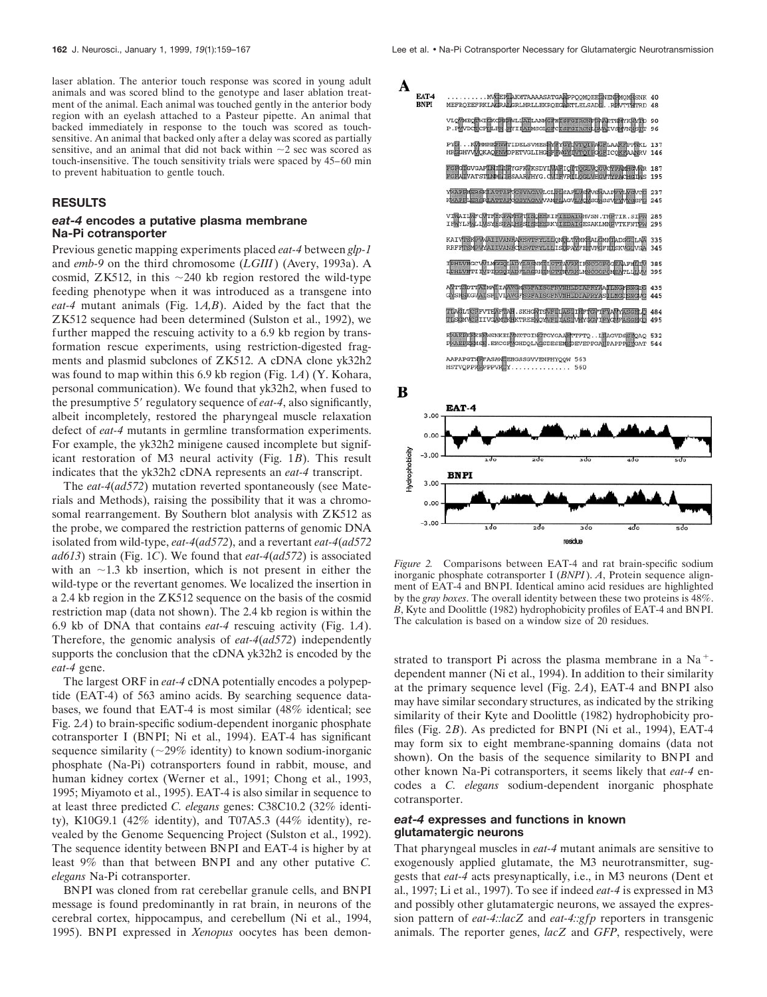laser ablation. The anterior touch response was scored in young adult animals and was scored blind to the genotype and laser ablation treatment of the animal. Each animal was touched gently in the anterior body region with an eyelash attached to a Pasteur pipette. An animal that backed immediately in response to the touch was scored as touchsensitive. An animal that backed only after a delay was scored as partially sensitive, and an animal that did not back within  $\sim$ 2 sec was scored as touch-insensitive. The touch sensitivity trials were spaced by 45–60 min to prevent habituation to gentle touch.

# **RESULTS**

# *eat-4* **encodes a putative plasma membrane Na-Pi cotransporter**

Previous genetic mapping experiments placed *eat-4* between *glp-1* and *emb-9* on the third chromosome (*LGIII*) (Avery, 1993a). A cosmid, ZK512, in this  $\sim$ 240 kb region restored the wild-type feeding phenotype when it was introduced as a transgene into *eat-4* mutant animals (Fig. 1*A,B*). Aided by the fact that the ZK512 sequence had been determined (Sulston et al., 1992), we further mapped the rescuing activity to a 6.9 kb region by transformation rescue experiments, using restriction-digested fragments and plasmid subclones of ZK512. A cDNA clone yk32h2 was found to map within this 6.9 kb region (Fig. 1*A*) (Y. Kohara, personal communication). We found that yk32h2, when fused to the presumptive 5' regulatory sequence of *eat-4*, also significantly, albeit incompletely, restored the pharyngeal muscle relaxation defect of *eat-4* mutants in germline transformation experiments. For example, the yk32h2 minigene caused incomplete but significant restoration of M3 neural activity (Fig. 1*B*). This result indicates that the yk32h2 cDNA represents an *eat-4* transcript.

The *eat-4*(*ad572*) mutation reverted spontaneously (see Materials and Methods), raising the possibility that it was a chromosomal rearrangement. By Southern blot analysis with ZK512 as the probe, we compared the restriction patterns of genomic DNA isolated from wild-type, *eat-4*(*ad572*), and a revertant *eat-4*(*ad572 ad613*) strain (Fig. 1*C*). We found that *eat-4*(*ad572*) is associated with an  $\sim$ 1.3 kb insertion, which is not present in either the wild-type or the revertant genomes. We localized the insertion in a 2.4 kb region in the ZK512 sequence on the basis of the cosmid restriction map (data not shown). The 2.4 kb region is within the 6.9 kb of DNA that contains *eat-4* rescuing activity (Fig. 1*A*). Therefore, the genomic analysis of *eat-4*(*ad572*) independently supports the conclusion that the cDNA yk32h2 is encoded by the *eat-4* gene.

The largest ORF in *eat-4* cDNA potentially encodes a polypeptide (EAT-4) of 563 amino acids. By searching sequence databases, we found that EAT-4 is most similar (48% identical; see Fig. 2*A*) to brain-specific sodium-dependent inorganic phosphate cotransporter I (BNPI; Ni et al., 1994). EAT-4 has significant sequence similarity ( $\sim$ 29% identity) to known sodium-inorganic phosphate (Na-Pi) cotransporters found in rabbit, mouse, and human kidney cortex (Werner et al., 1991; Chong et al., 1993, 1995; Miyamoto et al., 1995). EAT-4 is also similar in sequence to at least three predicted *C. elegans* genes: C38C10.2 (32% identity), K10G9.1 (42% identity), and T07A5.3 (44% identity), revealed by the Genome Sequencing Project (Sulston et al., 1992). The sequence identity between BNPI and EAT-4 is higher by at least 9% than that between BNPI and any other putative *C. elegans* Na-Pi cotransporter.

BNPI was cloned from rat cerebellar granule cells, and BNPI message is found predominantly in rat brain, in neurons of the cerebral cortex, hippocampus, and cerebellum (Ni et al., 1994, 1995). BNPI expressed in *Xenopus* oocytes has been demon-





*Figure 2.* Comparisons between EAT-4 and rat brain-specific sodium inorganic phosphate cotransporter I (*BNPI*). *A*, Protein sequence alignment of EAT-4 and BNPI. Identical amino acid residues are highlighted by the *gray boxes*. The overall identity between these two proteins is 48%. *B*, Kyte and Doolittle (1982) hydrophobicity profiles of EAT-4 and BNPI. The calculation is based on a window size of 20 residues.

strated to transport Pi across the plasma membrane in a  $Na<sup>+</sup>$ dependent manner (Ni et al., 1994). In addition to their similarity at the primary sequence level (Fig. 2*A*), EAT-4 and BNPI also may have similar secondary structures, as indicated by the striking similarity of their Kyte and Doolittle (1982) hydrophobicity profiles (Fig. 2*B*). As predicted for BNPI (Ni et al., 1994), EAT-4 may form six to eight membrane-spanning domains (data not shown). On the basis of the sequence similarity to BNPI and other known Na-Pi cotransporters, it seems likely that *eat-4* encodes a *C. elegans* sodium-dependent inorganic phosphate cotransporter.

# *eat-4* **expresses and functions in known glutamatergic neurons**

That pharyngeal muscles in *eat-4* mutant animals are sensitive to exogenously applied glutamate, the M3 neurotransmitter, suggests that *eat-4* acts presynaptically, i.e., in M3 neurons (Dent et al., 1997; Li et al., 1997). To see if indeed *eat-4* is expressed in M3 and possibly other glutamatergic neurons, we assayed the expression pattern of *eat-4::lacZ* and *eat-4::gfp* reporters in transgenic animals. The reporter genes, *lacZ* and *GFP*, respectively, were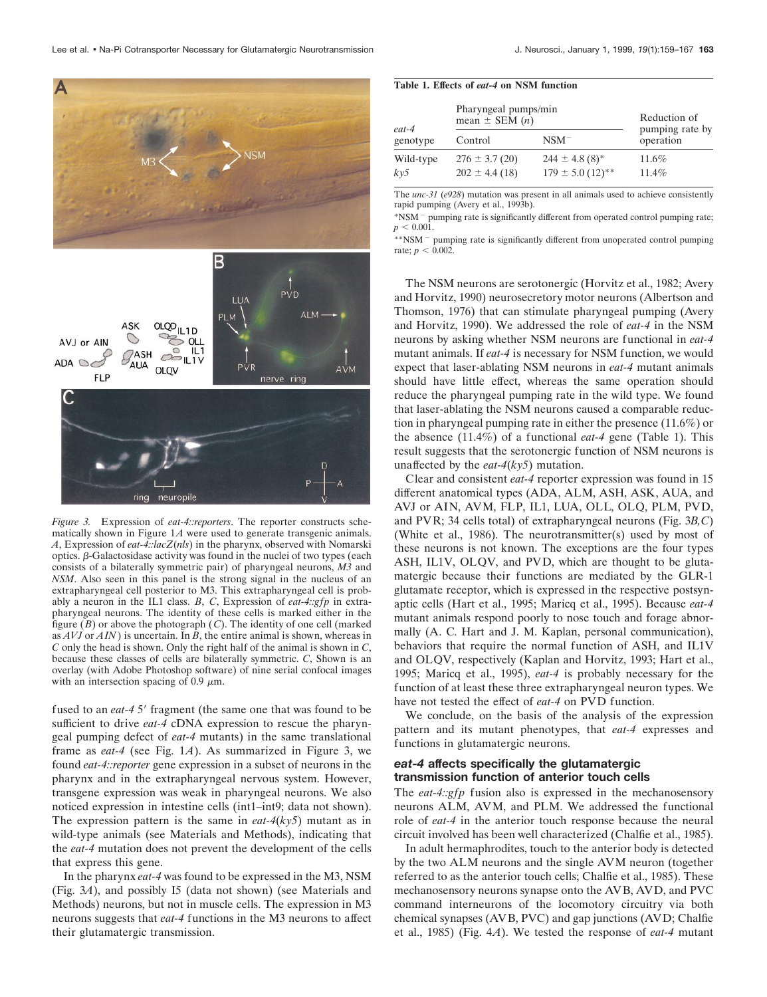

*Figure 3.* Expression of *eat-4::reporters*. The reporter constructs schematically shown in Figure 1*A* were used to generate transgenic animals. *A*, Expression of *eat-4::lacZ*(*nls*) in the pharynx, observed with Nomarski optics.  $\beta$ -Galactosidase activity was found in the nuclei of two types (each consists of a bilaterally symmetric pair) of pharyngeal neurons, *M3* and *NSM*. Also seen in this panel is the strong signal in the nucleus of an extrapharyngeal cell posterior to M3. This extrapharyngeal cell is probably a neuron in the IL1 class. *B*, *C*, Expression of *eat-4::gfp* in extrapharyngeal neurons. The identity of these cells is marked either in the figure (*B*) or above the photograph (*C*). The identity of one cell (marked as *AVJ* or *AIN*) is uncertain. In *B*, the entire animal is shown, whereas in *C* only the head is shown. Only the right half of the animal is shown in *C*, because these classes of cells are bilaterally symmetric. *C*, Shown is an overlay (with Adobe Photoshop software) of nine serial confocal images with an intersection spacing of  $0.9 \mu m$ .

fused to an *eat-4* 5' fragment (the same one that was found to be sufficient to drive *eat-4* cDNA expression to rescue the pharyngeal pumping defect of *eat-4* mutants) in the same translational frame as *eat-4* (see Fig. 1*A*). As summarized in Figure 3, we found *eat-4::reporter* gene expression in a subset of neurons in the pharynx and in the extrapharyngeal nervous system. However, transgene expression was weak in pharyngeal neurons. We also noticed expression in intestine cells (int1–int9; data not shown). The expression pattern is the same in *eat-4*(*ky5*) mutant as in wild-type animals (see Materials and Methods), indicating that the *eat-4* mutation does not prevent the development of the cells that express this gene.

In the pharynx *eat-4* was found to be expressed in the M3, NSM (Fig. 3*A*), and possibly I5 (data not shown) (see Materials and Methods) neurons, but not in muscle cells. The expression in M3 neurons suggests that *eat-4* functions in the M3 neurons to affect their glutamatergic transmission.

#### **Table 1. Effects of** *eat-4* **on NSM function**

| eat-4<br>genotype | Pharyngeal pumps/min<br>mean $\pm$ SEM $(n)$ |                                                                    | Reduction of<br>pumping rate by |
|-------------------|----------------------------------------------|--------------------------------------------------------------------|---------------------------------|
|                   | Control                                      | $NSM^-$                                                            | operation                       |
| Wild-type<br>ky5  | $276 \pm 3.7(20)$<br>$202 \pm 4.4$ (18)      | $244 \pm 4.8$ (8) <sup>*</sup><br>$179 \pm 5.0$ (12) <sup>**</sup> | 11.6%<br>11.4%                  |

The *unc-31* (*e928*) mutation was present in all animals used to achieve consistently rapid pumping (Avery et al., 1993b).

\*NSM<sup>-</sup> pumping rate is significantly different from operated control pumping rate;  $p < 0.001$ .

\*\*NSM<sup>-</sup> pumping rate is significantly different from unoperated control pumping rate;  $p < 0.002$ .

The NSM neurons are serotonergic (Horvitz et al., 1982; Avery and Horvitz, 1990) neurosecretory motor neurons (Albertson and Thomson, 1976) that can stimulate pharyngeal pumping (Avery and Horvitz, 1990). We addressed the role of *eat-4* in the NSM neurons by asking whether NSM neurons are functional in *eat-4* mutant animals. If *eat-4* is necessary for NSM function, we would expect that laser-ablating NSM neurons in *eat-4* mutant animals should have little effect, whereas the same operation should reduce the pharyngeal pumping rate in the wild type. We found that laser-ablating the NSM neurons caused a comparable reduction in pharyngeal pumping rate in either the presence (11.6%) or the absence (11.4%) of a functional *eat-4* gene (Table 1). This result suggests that the serotonergic function of NSM neurons is unaffected by the *eat-4*(*ky5*) mutation.

Clear and consistent *eat-4* reporter expression was found in 15 different anatomical types (ADA, ALM, ASH, ASK, AUA, and AVJ or AIN, AVM, FLP, IL1, LUA, OLL, OLQ, PLM, PVD, and PVR; 34 cells total) of extrapharyngeal neurons (Fig. 3*B,C*) (White et al., 1986). The neurotransmitter(s) used by most of these neurons is not known. The exceptions are the four types ASH, IL1V, OLQV, and PVD, which are thought to be glutamatergic because their functions are mediated by the GLR-1 glutamate receptor, which is expressed in the respective postsynaptic cells (Hart et al., 1995; Maricq et al., 1995). Because *eat-4* mutant animals respond poorly to nose touch and forage abnormally (A. C. Hart and J. M. Kaplan, personal communication), behaviors that require the normal function of ASH, and IL1V and OLQV, respectively (Kaplan and Horvitz, 1993; Hart et al., 1995; Maricq et al., 1995), *eat-4* is probably necessary for the function of at least these three extrapharyngeal neuron types. We have not tested the effect of *eat-4* on PVD function.

We conclude, on the basis of the analysis of the expression pattern and its mutant phenotypes, that *eat-4* expresses and functions in glutamatergic neurons.

#### *eat-4* **affects specifically the glutamatergic transmission function of anterior touch cells**

The *eat-4::gfp* fusion also is expressed in the mechanosensory neurons ALM, AVM, and PLM. We addressed the functional role of *eat-4* in the anterior touch response because the neural circuit involved has been well characterized (Chalfie et al., 1985).

In adult hermaphrodites, touch to the anterior body is detected by the two ALM neurons and the single AVM neuron (together referred to as the anterior touch cells; Chalfie et al., 1985). These mechanosensory neurons synapse onto the AVB, AVD, and PVC command interneurons of the locomotory circuitry via both chemical synapses (AVB, PVC) and gap junctions (AVD; Chalfie et al., 1985) (Fig. 4*A*). We tested the response of *eat-4* mutant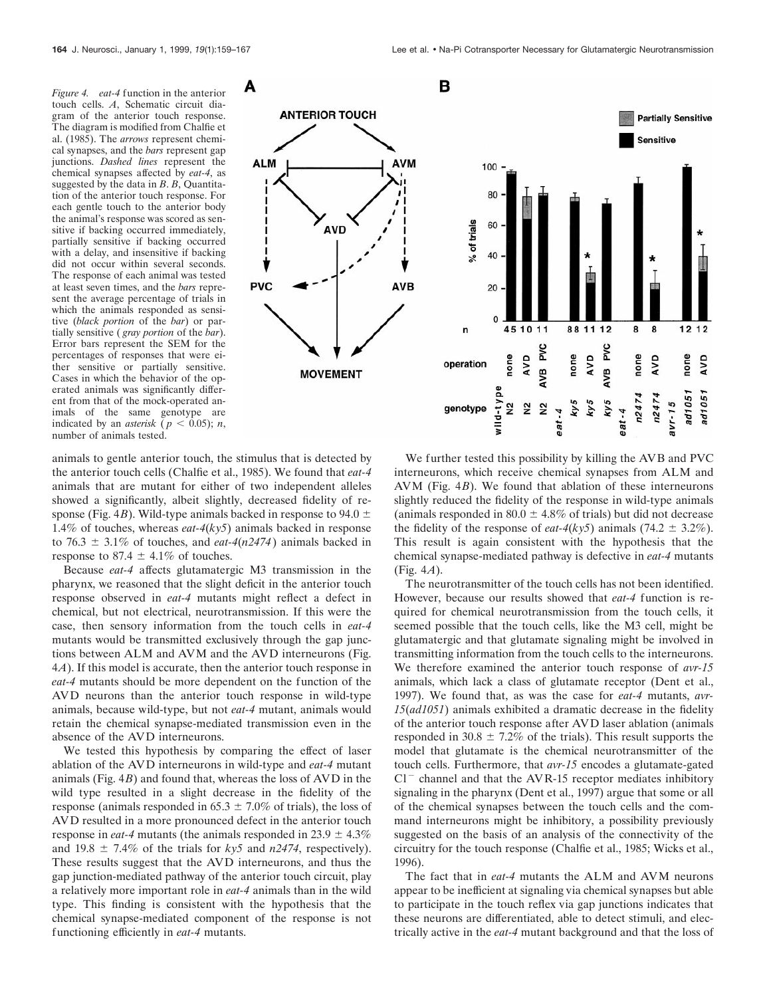*Figure 4. eat-4* function in the anterior touch cells. *A*, Schematic circuit diagram of the anterior touch response. The diagram is modified from Chalfie et al. (1985). The *arrows* represent chemical synapses, and the *bars* represent gap junctions. *Dashed lines* represent the chemical synapses affected by *eat-4*, as suggested by the data in *B*. *B*, Quantitation of the anterior touch response. For each gentle touch to the anterior body the animal's response was scored as sensitive if backing occurred immediately, partially sensitive if backing occurred with a delay, and insensitive if backing did not occur within several seconds. The response of each animal was tested at least seven times, and the *bars* represent the average percentage of trials in which the animals responded as sensitive (*black portion* of the *bar*) or partially sensitive ( *gray portion* of the *bar*). Error bars represent the SEM for the percentages of responses that were either sensitive or partially sensitive. Cases in which the behavior of the operated animals was significantly different from that of the mock-operated animals of the same genotype are indicated by an *asterisk* ( $p < 0.05$ ); *n*, number of animals tested.





animals to gentle anterior touch, the stimulus that is detected by the anterior touch cells (Chalfie et al., 1985). We found that *eat-4* animals that are mutant for either of two independent alleles showed a significantly, albeit slightly, decreased fidelity of response (Fig. 4*B*). Wild-type animals backed in response to 94.0  $\pm$ 1.4% of touches, whereas *eat-4*(*ky5*) animals backed in response to 76.3  $\pm$  3.1% of touches, and *eat-4(n2474)* animals backed in response to 87.4  $\pm$  4.1% of touches.

Because *eat-4* affects glutamatergic M3 transmission in the pharynx, we reasoned that the slight deficit in the anterior touch response observed in *eat-4* mutants might reflect a defect in chemical, but not electrical, neurotransmission. If this were the case, then sensory information from the touch cells in *eat-4* mutants would be transmitted exclusively through the gap junctions between ALM and AVM and the AVD interneurons (Fig. 4*A*). If this model is accurate, then the anterior touch response in *eat-4* mutants should be more dependent on the function of the AVD neurons than the anterior touch response in wild-type animals, because wild-type, but not *eat-4* mutant, animals would retain the chemical synapse-mediated transmission even in the absence of the AVD interneurons.

We tested this hypothesis by comparing the effect of laser ablation of the AVD interneurons in wild-type and *eat-4* mutant animals (Fig. 4*B*) and found that, whereas the loss of AVD in the wild type resulted in a slight decrease in the fidelity of the response (animals responded in 65.3  $\pm$  7.0% of trials), the loss of AVD resulted in a more pronounced defect in the anterior touch response in *eat-4* mutants (the animals responded in 23.9  $\pm$  4.3%) and 19.8  $\pm$  7.4% of the trials for *ky5* and *n2474*, respectively). These results suggest that the AVD interneurons, and thus the gap junction-mediated pathway of the anterior touch circuit, play a relatively more important role in *eat-4* animals than in the wild type. This finding is consistent with the hypothesis that the chemical synapse-mediated component of the response is not functioning efficiently in *eat-4* mutants.

We further tested this possibility by killing the AVB and PVC interneurons, which receive chemical synapses from ALM and AVM (Fig. 4*B*). We found that ablation of these interneurons slightly reduced the fidelity of the response in wild-type animals (animals responded in 80.0  $\pm$  4.8% of trials) but did not decrease the fidelity of the response of *eat-4(ky5)* animals (74.2  $\pm$  3.2%). This result is again consistent with the hypothesis that the chemical synapse-mediated pathway is defective in *eat-4* mutants (Fig. 4*A*).

The neurotransmitter of the touch cells has not been identified. However, because our results showed that *eat-4* function is required for chemical neurotransmission from the touch cells, it seemed possible that the touch cells, like the M3 cell, might be glutamatergic and that glutamate signaling might be involved in transmitting information from the touch cells to the interneurons. We therefore examined the anterior touch response of *avr-15* animals, which lack a class of glutamate receptor (Dent et al., 1997). We found that, as was the case for *eat-4* mutants, *avr-15*(*ad1051*) animals exhibited a dramatic decrease in the fidelity of the anterior touch response after AVD laser ablation (animals responded in 30.8  $\pm$  7.2% of the trials). This result supports the model that glutamate is the chemical neurotransmitter of the touch cells. Furthermore, that *avr-15* encodes a glutamate-gated  $Cl^-$  channel and that the AVR-15 receptor mediates inhibitory signaling in the pharynx (Dent et al., 1997) argue that some or all of the chemical synapses between the touch cells and the command interneurons might be inhibitory, a possibility previously suggested on the basis of an analysis of the connectivity of the circuitry for the touch response (Chalfie et al., 1985; Wicks et al., 1996).

The fact that in *eat-4* mutants the ALM and AVM neurons appear to be inefficient at signaling via chemical synapses but able to participate in the touch reflex via gap junctions indicates that these neurons are differentiated, able to detect stimuli, and electrically active in the *eat-4* mutant background and that the loss of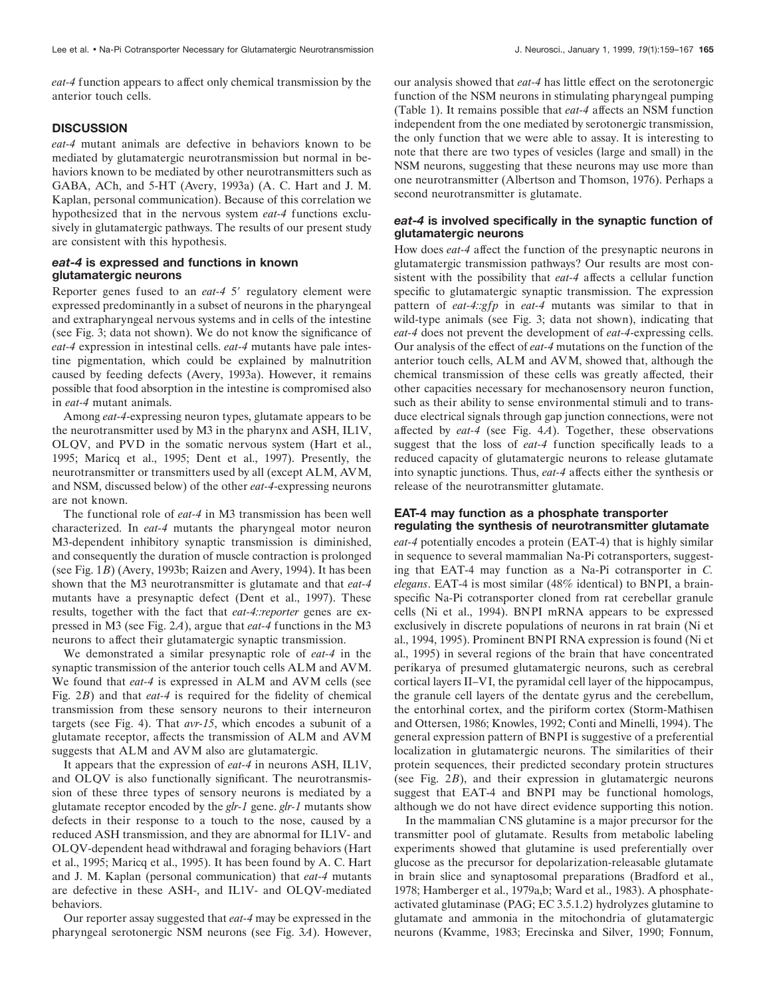*eat-4* function appears to affect only chemical transmission by the anterior touch cells.

# **DISCUSSION**

*eat-4* mutant animals are defective in behaviors known to be mediated by glutamatergic neurotransmission but normal in behaviors known to be mediated by other neurotransmitters such as GABA, ACh, and 5-HT (Avery, 1993a) (A. C. Hart and J. M. Kaplan, personal communication). Because of this correlation we hypothesized that in the nervous system *eat-4* functions exclusively in glutamatergic pathways. The results of our present study are consistent with this hypothesis.

## *eat-4* **is expressed and functions in known glutamatergic neurons**

Reporter genes fused to an *eat-4* 5' regulatory element were expressed predominantly in a subset of neurons in the pharyngeal and extrapharyngeal nervous systems and in cells of the intestine (see Fig. 3; data not shown). We do not know the significance of *eat-4* expression in intestinal cells. *eat-4* mutants have pale intestine pigmentation, which could be explained by malnutrition caused by feeding defects (Avery, 1993a). However, it remains possible that food absorption in the intestine is compromised also in *eat-4* mutant animals.

Among *eat-4*-expressing neuron types, glutamate appears to be the neurotransmitter used by M3 in the pharynx and ASH, IL1V, OLQV, and PVD in the somatic nervous system (Hart et al., 1995; Maricq et al., 1995; Dent et al., 1997). Presently, the neurotransmitter or transmitters used by all (except ALM, AVM, and NSM, discussed below) of the other *eat-4*-expressing neurons are not known.

The functional role of *eat-4* in M3 transmission has been well characterized. In *eat-4* mutants the pharyngeal motor neuron M3-dependent inhibitory synaptic transmission is diminished, and consequently the duration of muscle contraction is prolonged (see Fig. 1*B*) (Avery, 1993b; Raizen and Avery, 1994). It has been shown that the M3 neurotransmitter is glutamate and that *eat-4* mutants have a presynaptic defect (Dent et al., 1997). These results, together with the fact that *eat-4::reporter* genes are expressed in M3 (see Fig. 2*A*), argue that *eat-4* functions in the M3 neurons to affect their glutamatergic synaptic transmission.

We demonstrated a similar presynaptic role of *eat-4* in the synaptic transmission of the anterior touch cells ALM and AVM. We found that *eat-4* is expressed in ALM and AVM cells (see Fig. 2*B*) and that *eat-4* is required for the fidelity of chemical transmission from these sensory neurons to their interneuron targets (see Fig. 4). That *avr-15*, which encodes a subunit of a glutamate receptor, affects the transmission of ALM and AVM suggests that ALM and AVM also are glutamatergic.

It appears that the expression of *eat-4* in neurons ASH, IL1V, and OLQV is also functionally significant. The neurotransmission of these three types of sensory neurons is mediated by a glutamate receptor encoded by the *glr-1* gene. *glr-1* mutants show defects in their response to a touch to the nose, caused by a reduced ASH transmission, and they are abnormal for IL1V- and OLQV-dependent head withdrawal and foraging behaviors (Hart et al., 1995; Maricq et al., 1995). It has been found by A. C. Hart and J. M. Kaplan (personal communication) that *eat-4* mutants are defective in these ASH-, and IL1V- and OLQV-mediated behaviors.

Our reporter assay suggested that *eat-4* may be expressed in the pharyngeal serotonergic NSM neurons (see Fig. 3*A*). However, our analysis showed that *eat-4* has little effect on the serotonergic function of the NSM neurons in stimulating pharyngeal pumping (Table 1). It remains possible that *eat-4* affects an NSM function independent from the one mediated by serotonergic transmission, the only function that we were able to assay. It is interesting to note that there are two types of vesicles (large and small) in the NSM neurons, suggesting that these neurons may use more than one neurotransmitter (Albertson and Thomson, 1976). Perhaps a second neurotransmitter is glutamate.

#### *eat-4* **is involved specifically in the synaptic function of glutamatergic neurons**

How does *eat-4* affect the function of the presynaptic neurons in glutamatergic transmission pathways? Our results are most consistent with the possibility that *eat-4* affects a cellular function specific to glutamatergic synaptic transmission. The expression pattern of *eat-4::gfp* in *eat-4* mutants was similar to that in wild-type animals (see Fig. 3; data not shown), indicating that *eat-4* does not prevent the development of *eat-4*-expressing cells. Our analysis of the effect of *eat-4* mutations on the function of the anterior touch cells, ALM and AVM, showed that, although the chemical transmission of these cells was greatly affected, their other capacities necessary for mechanosensory neuron function, such as their ability to sense environmental stimuli and to transduce electrical signals through gap junction connections, were not affected by *eat-4* (see Fig. 4*A*). Together, these observations suggest that the loss of *eat-4* function specifically leads to a reduced capacity of glutamatergic neurons to release glutamate into synaptic junctions. Thus, *eat-4* affects either the synthesis or release of the neurotransmitter glutamate.

#### **EAT-4 may function as a phosphate transporter regulating the synthesis of neurotransmitter glutamate**

*eat-4* potentially encodes a protein (EAT-4) that is highly similar in sequence to several mammalian Na-Pi cotransporters, suggesting that EAT-4 may function as a Na-Pi cotransporter in *C. elegans*. EAT-4 is most similar (48% identical) to BNPI, a brainspecific Na-Pi cotransporter cloned from rat cerebellar granule cells (Ni et al., 1994). BNPI mRNA appears to be expressed exclusively in discrete populations of neurons in rat brain (Ni et al., 1994, 1995). Prominent BNPI RNA expression is found (Ni et al., 1995) in several regions of the brain that have concentrated perikarya of presumed glutamatergic neurons, such as cerebral cortical layers II–VI, the pyramidal cell layer of the hippocampus, the granule cell layers of the dentate gyrus and the cerebellum, the entorhinal cortex, and the piriform cortex (Storm-Mathisen and Ottersen, 1986; Knowles, 1992; Conti and Minelli, 1994). The general expression pattern of BNPI is suggestive of a preferential localization in glutamatergic neurons. The similarities of their protein sequences, their predicted secondary protein structures (see Fig. 2*B*), and their expression in glutamatergic neurons suggest that EAT-4 and BNPI may be functional homologs, although we do not have direct evidence supporting this notion.

In the mammalian CNS glutamine is a major precursor for the transmitter pool of glutamate. Results from metabolic labeling experiments showed that glutamine is used preferentially over glucose as the precursor for depolarization-releasable glutamate in brain slice and synaptosomal preparations (Bradford et al., 1978; Hamberger et al., 1979a,b; Ward et al., 1983). A phosphateactivated glutaminase (PAG; EC 3.5.1.2) hydrolyzes glutamine to glutamate and ammonia in the mitochondria of glutamatergic neurons (Kvamme, 1983; Erecinska and Silver, 1990; Fonnum,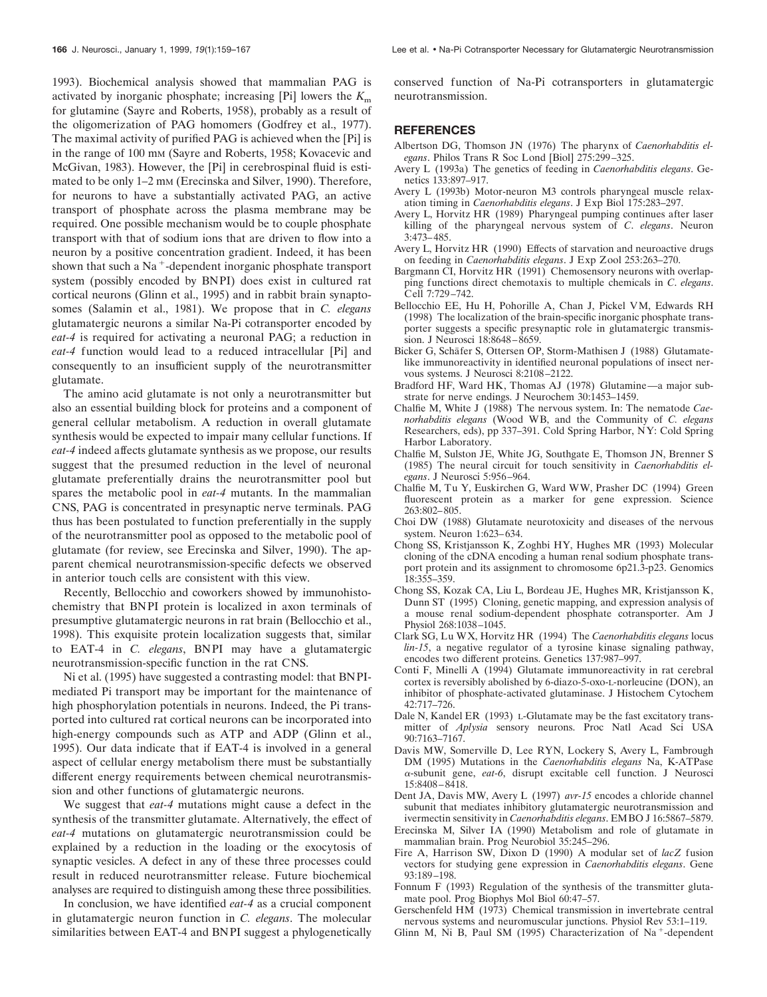1993). Biochemical analysis showed that mammalian PAG is activated by inorganic phosphate; increasing [Pi] lowers the *K*<sup>m</sup> for glutamine (Sayre and Roberts, 1958), probably as a result of the oligomerization of PAG homomers (Godfrey et al., 1977). The maximal activity of purified PAG is achieved when the [Pi] is in the range of 100 mM (Sayre and Roberts, 1958; Kovacevic and McGivan, 1983). However, the [Pi] in cerebrospinal fluid is estimated to be only 1–2 mm (Erecinska and Silver, 1990). Therefore, for neurons to have a substantially activated PAG, an active transport of phosphate across the plasma membrane may be required. One possible mechanism would be to couple phosphate transport with that of sodium ions that are driven to flow into a neuron by a positive concentration gradient. Indeed, it has been shown that such a Na<sup> $+$ </sup>-dependent inorganic phosphate transport system (possibly encoded by BNPI) does exist in cultured rat cortical neurons (Glinn et al., 1995) and in rabbit brain synaptosomes (Salamin et al., 1981). We propose that in *C. elegans* glutamatergic neurons a similar Na-Pi cotransporter encoded by *eat-4* is required for activating a neuronal PAG; a reduction in *eat-4* function would lead to a reduced intracellular [Pi] and consequently to an insufficient supply of the neurotransmitter glutamate.

The amino acid glutamate is not only a neurotransmitter but also an essential building block for proteins and a component of general cellular metabolism. A reduction in overall glutamate synthesis would be expected to impair many cellular functions. If *eat-4* indeed affects glutamate synthesis as we propose, our results suggest that the presumed reduction in the level of neuronal glutamate preferentially drains the neurotransmitter pool but spares the metabolic pool in *eat-4* mutants. In the mammalian CNS, PAG is concentrated in presynaptic nerve terminals. PAG thus has been postulated to function preferentially in the supply of the neurotransmitter pool as opposed to the metabolic pool of glutamate (for review, see Erecinska and Silver, 1990). The apparent chemical neurotransmission-specific defects we observed in anterior touch cells are consistent with this view.

Recently, Bellocchio and coworkers showed by immunohistochemistry that BNPI protein is localized in axon terminals of presumptive glutamatergic neurons in rat brain (Bellocchio et al., 1998). This exquisite protein localization suggests that, similar to EAT-4 in *C. elegans*, BNPI may have a glutamatergic neurotransmission-specific function in the rat CNS.

Ni et al. (1995) have suggested a contrasting model: that BNPImediated Pi transport may be important for the maintenance of high phosphorylation potentials in neurons. Indeed, the Pi transported into cultured rat cortical neurons can be incorporated into high-energy compounds such as ATP and ADP (Glinn et al., 1995). Our data indicate that if EAT-4 is involved in a general aspect of cellular energy metabolism there must be substantially different energy requirements between chemical neurotransmission and other functions of glutamatergic neurons.

We suggest that *eat-4* mutations might cause a defect in the synthesis of the transmitter glutamate. Alternatively, the effect of *eat-4* mutations on glutamatergic neurotransmission could be explained by a reduction in the loading or the exocytosis of synaptic vesicles. A defect in any of these three processes could result in reduced neurotransmitter release. Future biochemical analyses are required to distinguish among these three possibilities.

In conclusion, we have identified *eat-4* as a crucial component in glutamatergic neuron function in *C. elegans*. The molecular similarities between EAT-4 and BNPI suggest a phylogenetically

**166** J. Neurosci., January 1, 1999, *19*(1):159–167 Lee et al. • Na-Pi Cotransporter Necessary for Glutamatergic Neurotransmission

conserved function of Na-Pi cotransporters in glutamatergic neurotransmission.

#### **REFERENCES**

- Albertson DG, Thomson JN (1976) The pharynx of *Caenorhabditis elegans*. Philos Trans R Soc Lond [Biol] 275:299–325.
- Avery L (1993a) The genetics of feeding in *Caenorhabditis elegans*. Genetics 133:897–917.
- Avery L (1993b) Motor-neuron M3 controls pharyngeal muscle relaxation timing in *Caenorhabditis elegans*. J Exp Biol 175:283–297.
- Avery L, Horvitz HR (1989) Pharyngeal pumping continues after laser killing of the pharyngeal nervous system of *C*. *elegans*. Neuron 3:473–485.
- Avery L, Horvitz HR (1990) Effects of starvation and neuroactive drugs on feeding in *Caenorhabditis elegans*. J Exp Zool 253:263–270.
- Bargmann CI, Horvitz HR (1991) Chemosensory neurons with overlapping functions direct chemotaxis to multiple chemicals in *C*. *elegans*. Cell 7:729–742.
- Bellocchio EE, Hu H, Pohorille A, Chan J, Pickel VM, Edwards RH (1998) The localization of the brain-specific inorganic phosphate transporter suggests a specific presynaptic role in glutamatergic transmission. J Neurosci 18:8648–8659.
- Bicker G, Schäfer S, Ottersen OP, Storm-Mathisen J (1988) Glutamatelike immunoreactivity in identified neuronal populations of insect nervous systems. J Neurosci 8:2108–2122.
- Bradford HF, Ward HK, Thomas AJ (1978) Glutamine—a major substrate for nerve endings. J Neurochem 30:1453–1459.
- Chalfie M, White J (1988) The nervous system. In: The nematode *Caenorhabditis elegans* (Wood WB, and the Community of *C. elegans* Researchers, eds), pp 337–391. Cold Spring Harbor, NY: Cold Spring Harbor Laboratory.
- Chalfie M, Sulston JE, White JG, Southgate E, Thomson JN, Brenner S (1985) The neural circuit for touch sensitivity in *Caenorhabditis elegans*. J Neurosci 5:956–964.
- Chalfie M, Tu Y, Euskirchen G, Ward WW, Prasher DC (1994) Green fluorescent protein as a marker for gene expression. Science 263:802–805.
- Choi DW (1988) Glutamate neurotoxicity and diseases of the nervous system. Neuron 1:623–634.
- Chong SS, Kristjansson K, Zoghbi HY, Hughes MR (1993) Molecular cloning of the cDNA encoding a human renal sodium phosphate transport protein and its assignment to chromosome 6p21.3-p23. Genomics 18:355–359.
- Chong SS, Kozak CA, Liu L, Bordeau JE, Hughes MR, Kristjansson K, Dunn ST (1995) Cloning, genetic mapping, and expression analysis of a mouse renal sodium-dependent phosphate cotransporter. Am J Physiol 268:1038–1045.
- Clark SG, Lu WX, Horvitz HR (1994) The *Caenorhabditis elegans* locus *lin-15*, a negative regulator of a tyrosine kinase signaling pathway, encodes two different proteins. Genetics 137:987–997.
- Conti F, Minelli A (1994) Glutamate immunoreactivity in rat cerebral cortex is reversibly abolished by 6-diazo-5-oxo-L-norleucine (DON), an inhibitor of phosphate-activated glutaminase. J Histochem Cytochem 42:717–726.
- Dale N, Kandel ER (1993) L-Glutamate may be the fast excitatory transmitter of *Aplysia* sensory neurons. Proc Natl Acad Sci USA 90:7163–7167.
- Davis MW, Somerville D, Lee RYN, Lockery S, Avery L, Fambrough DM (1995) Mutations in the *Caenorhabditis elegans* Na, K-ATPase <sup>a</sup>-subunit gene, *eat-6*, disrupt excitable cell function. J Neurosci 15:8408–8418.
- Dent JA, Davis MW, Avery L (1997) *avr-15* encodes a chloride channel subunit that mediates inhibitory glutamatergic neurotransmission and ivermectin sensitivity in *Caenorhabditis elegans*. EMBO J 16:5867–5879.
- Erecinska M, Silver IA (1990) Metabolism and role of glutamate in mammalian brain. Prog Neurobiol 35:245–296.
- Fire A, Harrison SW, Dixon D (1990) A modular set of *lacZ* fusion vectors for studying gene expression in *Caenorhabditis elegans*. Gene 93:189–198.
- Fonnum F (1993) Regulation of the synthesis of the transmitter glutamate pool. Prog Biophys Mol Biol 60:47–57.
- Gerschenfeld HM (1973) Chemical transmission in invertebrate central nervous systems and neuromuscular junctions. Physiol Rev 53:1–119.
- Glinn M, Ni B, Paul SM (1995) Characterization of Na<sup>+</sup>-dependent